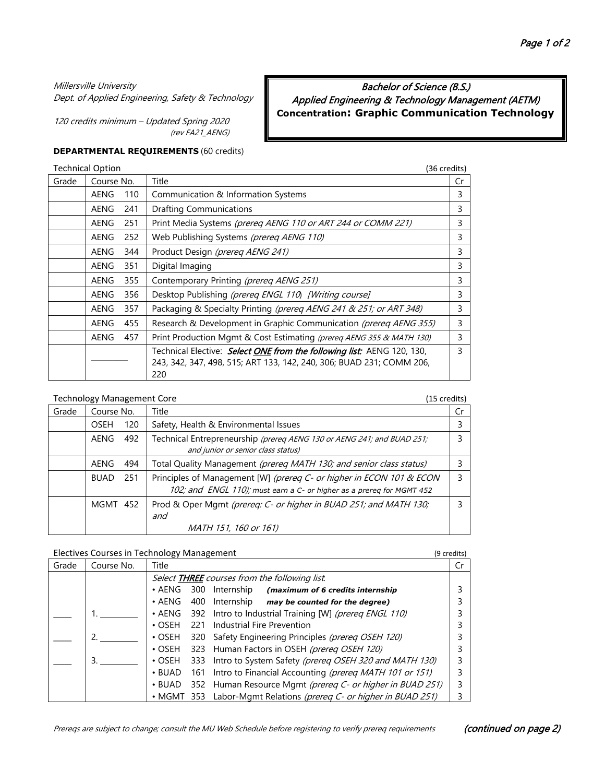#### Millersville University

Dept. of Applied Engineering, Safety & Technology

120 credits minimum – Updated Spring 2020 (rev FA21\_AENG)

# Bachelor of Science (B.S.) Applied Engineering & Technology Management (AETM) **Concentration: Graphic Communication Technology**

#### **DEPARTMENTAL REQUIREMENTS** (60 credits)

|       | <b>Technical Option</b> |     | (36 credits)                                                                                                                                          |    |
|-------|-------------------------|-----|-------------------------------------------------------------------------------------------------------------------------------------------------------|----|
| Grade | Course No.              |     | Title                                                                                                                                                 | Cr |
|       | <b>AENG</b>             | 110 | Communication & Information Systems                                                                                                                   | 3  |
|       | AENG                    | 241 | <b>Drafting Communications</b>                                                                                                                        | 3  |
|       | AENG                    | 251 | Print Media Systems (prereq AENG 110 or ART 244 or COMM 221)                                                                                          | 3  |
|       | <b>AENG</b>             | 252 | Web Publishing Systems (prereq AENG 110)                                                                                                              | 3  |
|       | <b>AENG</b>             | 344 | Product Design (prereg AENG 241)                                                                                                                      | 3  |
|       | <b>AENG</b>             | 351 | Digital Imaging                                                                                                                                       | 3  |
|       | AENG                    | 355 | Contemporary Printing (prereq AENG 251)                                                                                                               | 3  |
|       | <b>AENG</b>             | 356 | Desktop Publishing (prereg ENGL 110) [Writing course]                                                                                                 | 3  |
|       | <b>AENG</b>             | 357 | Packaging & Specialty Printing (prereg AENG 241 & 251; or ART 348)                                                                                    | 3  |
|       | <b>AENG</b>             | 455 | Research & Development in Graphic Communication (prereq AENG 355)                                                                                     | 3  |
|       | AENG                    | 457 | Print Production Mgmt & Cost Estimating (prereg AENG 355 & MATH 130)                                                                                  | 3  |
|       |                         |     | Technical Elective: Select ONE from the following list: AENG 120, 130,<br>243, 342, 347, 498, 515; ART 133, 142, 240, 306; BUAD 231; COMM 206,<br>220 | 3  |

#### Technology Management Core (15 credits) (15 credits)

| Grade | Course No.  |     | Title                                                                                                                                         | Cr |
|-------|-------------|-----|-----------------------------------------------------------------------------------------------------------------------------------------------|----|
|       | <b>OSEH</b> | 120 | Safety, Health & Environmental Issues                                                                                                         |    |
|       | AENG        | 492 | Technical Entrepreneurship (prereq AENG 130 or AENG 241; and BUAD 251;<br>and junior or senior class status)                                  |    |
|       | AENG        | 494 | Total Quality Management (prereg MATH 130; and senior class status)                                                                           |    |
|       | <b>BUAD</b> | 251 | Principles of Management [W] (prereq C- or higher in ECON 101 & ECON<br>102; and ENGL 110); must earn a C- or higher as a prereg for MGMT 452 |    |
|       | MGMT 452    |     | Prod & Oper Mgmt (prereq: C- or higher in BUAD 251; and MATH 130;<br>and<br>MATH 151, 160 or 161)                                             |    |

#### Electives Courses in Technology Management (9 credits)

| Grade | Course No. | Title          |     |                                                                   | Cr |
|-------|------------|----------------|-----|-------------------------------------------------------------------|----|
|       |            |                |     | Select <b>THREE</b> courses from the following list.              |    |
|       |            | $\bullet$ AENG |     | 300 Internship (maximum of 6 credits internship                   |    |
|       |            | $\cdot$ AENG   |     | 400 Internship may be counted for the degree)                     |    |
|       |            | $\bullet$ AENG |     | 392 Intro to Industrial Training [W] (prereq ENGL 110)            |    |
|       |            | $\cdot$ OSEH   | 221 | Industrial Fire Prevention                                        |    |
|       |            | $\cdot$ OSEH   |     | 320 Safety Engineering Principles (prereg OSEH 120)               |    |
|       |            | $\cdot$ OSEH   |     | 323 Human Factors in OSEH (prereq OSEH 120)                       |    |
|       | 3.         | $\cdot$ OSEH   |     | 333 Intro to System Safety (prereq OSEH 320 and MATH 130)         |    |
|       |            | $\cdot$ BUAD   |     | 161 Intro to Financial Accounting (prereq MATH 101 or 151)        |    |
|       |            | $\cdot$ BUAD   |     | 352 Human Resource Mgmt (prereq C- or higher in BUAD 251)         |    |
|       |            |                |     | • MGMT 353 Labor-Mgmt Relations (prereq C- or higher in BUAD 251) |    |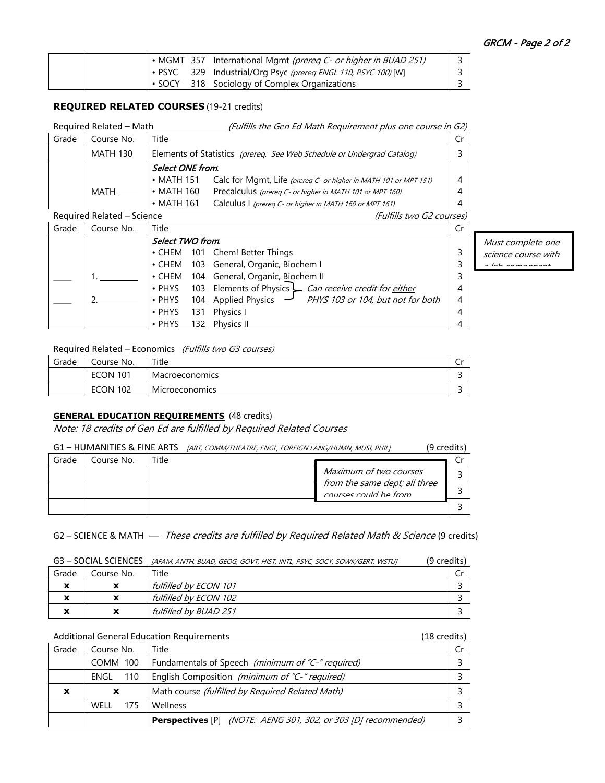|  |  | • MGMT 357 International Mgmt <i>(prereg C- or higher in BUAD 251)</i> |  |
|--|--|------------------------------------------------------------------------|--|
|  |  | • PSYC 329 Industrial/Org Psyc (prereq ENGL 110, PSYC 100) [W]         |  |
|  |  | • SOCY 318 Sociology of Complex Organizations                          |  |

## **REQUIRED RELATED COURSES** (19-21 credits)

|       | Required Related - Math |                         | (Fulfills the Gen Ed Math Requirement plus one course in G2)           |     |
|-------|-------------------------|-------------------------|------------------------------------------------------------------------|-----|
| Grade | Course No.              | Title                   |                                                                        | .Cr |
|       | <b>MATH 130</b>         |                         | Elements of Statistics (prereq: See Web Schedule or Undergrad Catalog) |     |
|       |                         | Select <u>ONE</u> from. |                                                                        |     |
|       |                         | $\bullet$ MATH 151      | Calc for Mgmt, Life (prereq C- or higher in MATH 101 or MPT 151)       | 4   |
|       | <b>MATH</b>             | $\cdot$ MATH 160        | Precalculus (prereq C- or higher in MATH 101 or MPT 160)               | 4   |
|       |                         | $\cdot$ MATH 161        | Calculus I (prereq C- or higher in MATH 160 or MPT 161)                | 4   |

## Required Related – Science (Fulfills two G2 courses)

| Grade | Course No. | Title                                                                               | Cr |                     |
|-------|------------|-------------------------------------------------------------------------------------|----|---------------------|
|       |            | Select <b>TWO</b> from.                                                             |    | Must complete one   |
|       |            | • CHEM 101 Chem! Better Things                                                      |    | science course with |
|       |            | • CHEM 103 General, Organic, Biochem I                                              |    | a lah campanant     |
|       |            | • CHEM 104 General, Organic, Biochem II                                             |    |                     |
|       |            | • PHYS 103 Elements of Physics Can receive credit for either                        |    |                     |
|       |            | 104 Applied Physics $\rightarrow$ PHYS 103 or 104, but not for both<br>$\cdot$ PHYS | 4  |                     |
|       |            | 131 Physics I<br>$\cdot$ PHYS                                                       |    |                     |
|       |            | <b>Physics II</b><br>132<br>$\cdot$ PHYS                                            |    |                     |

## Required Related – Economics (Fulfills two G3 courses)

| Grade | Course No.      | Title                 | ◡ |
|-------|-----------------|-----------------------|---|
|       | <b>ECON 101</b> | Macroeconomics        |   |
|       | <b>ECON 102</b> | <b>Microeconomics</b> |   |

### **GENERAL EDUCATION REQUIREMENTS** (48 credits)

Note: 18 credits of Gen Ed are fulfilled by Required Related Courses

|       | G1 - HUMANITIES & FINE ARTS |       | [ART, COMM/THEATRE, ENGL, FOREIGN LANG/HUMN, MUSI, PHIL] |                                                        | (9 credits) |  |
|-------|-----------------------------|-------|----------------------------------------------------------|--------------------------------------------------------|-------------|--|
| Grade | Course No.                  | Title |                                                          |                                                        |             |  |
|       |                             |       |                                                          | Maximum of two courses                                 |             |  |
|       |                             |       |                                                          | from the same dept; all three<br>courses could be from |             |  |
|       |                             |       |                                                          |                                                        |             |  |

## G2 – SCIENCE & MATH — These credits are fulfilled by Required Related Math & Science (9 credits)

| G3 - SOCIAL SCIENCES [AFAM, ANTH, BUAD, GEOG, GOVT, HIST, INTL, PSYC, SOCY, SOWK/GERT, WSTUJ | (9 credits) |
|----------------------------------------------------------------------------------------------|-------------|
|----------------------------------------------------------------------------------------------|-------------|

| Grade | Course No. | Title                 |  |
|-------|------------|-----------------------|--|
|       | ∼          | fulfilled by ECON 101 |  |
|       | ́          | fulfilled by ECON 102 |  |
|       | x          | fulfilled by BUAD 251 |  |

|                           |                 | <b>Additional General Education Requirements</b><br>(18 credits)             |  |
|---------------------------|-----------------|------------------------------------------------------------------------------|--|
| Grade                     | Course No.      | Title                                                                        |  |
|                           | <b>COMM 100</b> | Fundamentals of Speech (minimum of "C-" required)                            |  |
|                           | 110<br>ENGL     | English Composition (minimum of "C-" required)                               |  |
| $\boldsymbol{\mathsf{x}}$ | X               | Math course (fulfilled by Required Related Math)                             |  |
|                           | WFII<br>175     | Wellness                                                                     |  |
|                           |                 | <b>Perspectives</b> [P] <i>(NOTE: AENG 301, 302, or 303 [D] recommended)</i> |  |